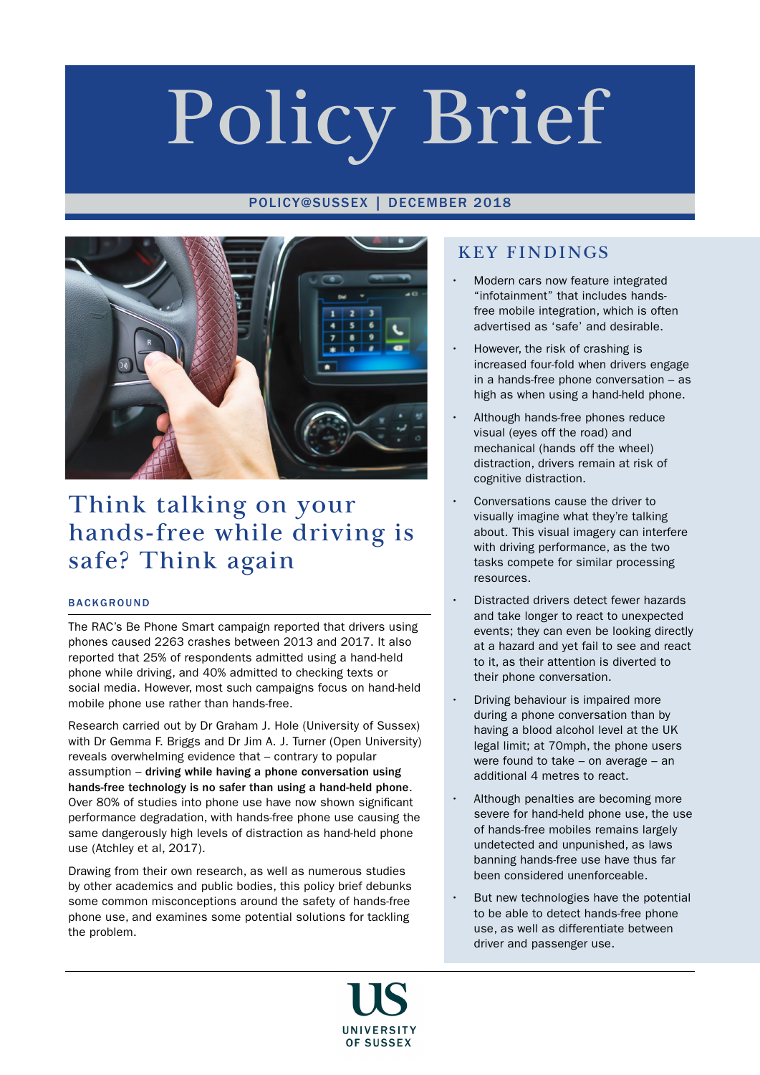# Policy Brief

## POLICY@SUSSEX | DECEMBER 2018



# Think talking on your hands-free while driving is safe? Think again

## **BACKGROUND**

The RAC's Be Phone Smart campaign reported that drivers using phones caused 2263 crashes between 2013 and 2017. It also reported that 25% of respondents admitted using a hand-held phone while driving, and 40% admitted to checking texts or social media. However, most such campaigns focus on hand-held mobile phone use rather than hands-free.

Research carried out by Dr Graham J. Hole (University of Sussex) with Dr Gemma F. Briggs and Dr Jim A. J. Turner (Open University) reveals overwhelming evidence that – contrary to popular assumption – driving while having a phone conversation using hands-free technology is no safer than using a hand-held phone. Over 80% of studies into phone use have now shown significant performance degradation, with hands-free phone use causing the same dangerously high levels of distraction as hand-held phone use (Atchley et al, 2017).

Drawing from their own research, as well as numerous studies by other academics and public bodies, this policy brief debunks some common misconceptions around the safety of hands-free phone use, and examines some potential solutions for tackling the problem.

## KEY FINDINGS

- Modern cars now feature integrated "infotainment" that includes handsfree mobile integration, which is often advertised as 'safe' and desirable.
- However, the risk of crashing is increased four-fold when drivers engage in a hands-free phone conversation – as high as when using a hand-held phone.
- Although hands-free phones reduce visual (eyes off the road) and mechanical (hands off the wheel) distraction, drivers remain at risk of cognitive distraction.
- Conversations cause the driver to visually imagine what they're talking about. This visual imagery can interfere with driving performance, as the two tasks compete for similar processing resources.
- Distracted drivers detect fewer hazards and take longer to react to unexpected events; they can even be looking directly at a hazard and yet fail to see and react to it, as their attention is diverted to their phone conversation.
- Driving behaviour is impaired more during a phone conversation than by having a blood alcohol level at the UK legal limit; at 70mph, the phone users were found to take – on average – an additional 4 metres to react.
- Although penalties are becoming more severe for hand-held phone use, the use of hands-free mobiles remains largely undetected and unpunished, as laws banning hands-free use have thus far been considered unenforceable.
- But new technologies have the potential to be able to detect hands-free phone use, as well as differentiate between driver and passenger use.

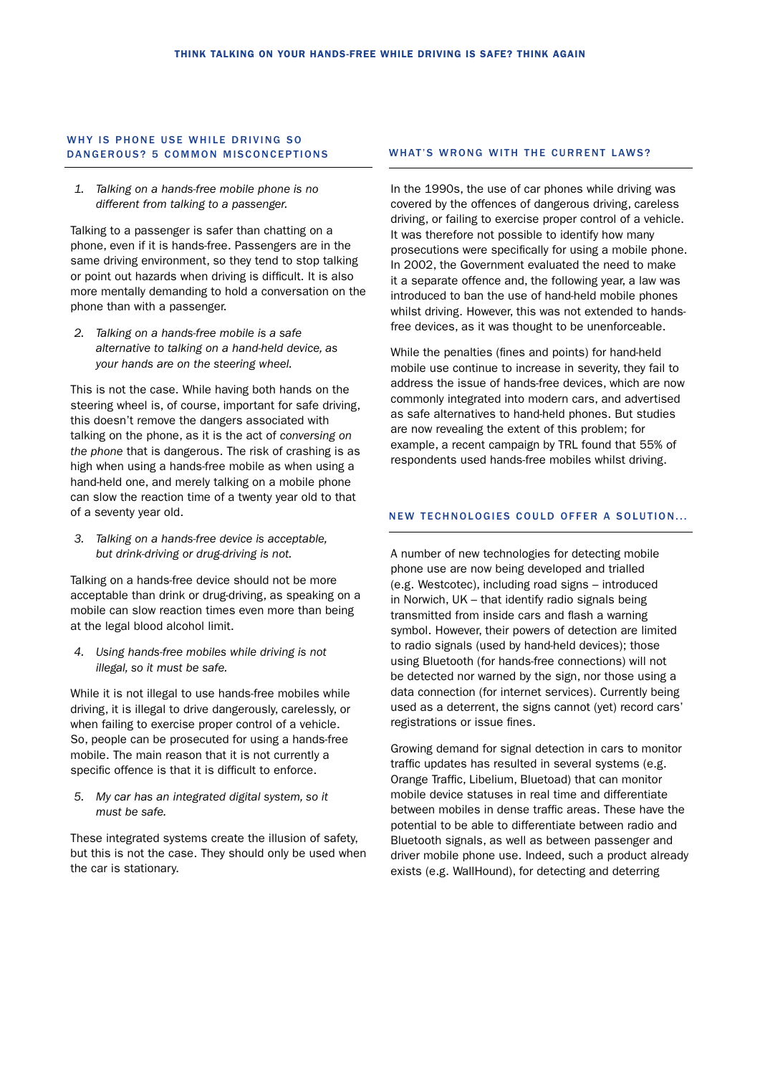## WHY IS PHONE USE WHILE DRIVING SO DANGEROUS? 5 COMMON MISCONCEPTIONS WHAT'S WRONG WITH THE CURRENT LAWS?

*1. Talking on a hands-free mobile phone is no different from talking to a passenger.*

Talking to a passenger is safer than chatting on a phone, even if it is hands-free. Passengers are in the same driving environment, so they tend to stop talking or point out hazards when driving is difficult. It is also more mentally demanding to hold a conversation on the phone than with a passenger.

*2. Talking on a hands-free mobile is a safe alternative to talking on a hand-held device, as your hands are on the steering wheel.*

This is not the case. While having both hands on the steering wheel is, of course, important for safe driving, this doesn't remove the dangers associated with talking on the phone, as it is the act of *conversing on the phone* that is dangerous. The risk of crashing is as high when using a hands-free mobile as when using a hand-held one, and merely talking on a mobile phone can slow the reaction time of a twenty year old to that of a seventy year old.

*3. Talking on a hands-free device is acceptable, but drink-driving or drug-driving is not.*

Talking on a hands-free device should not be more acceptable than drink or drug-driving, as speaking on a mobile can slow reaction times even more than being at the legal blood alcohol limit.

*4. Using hands-free mobiles while driving is not illegal, so it must be safe.*

While it is not illegal to use hands-free mobiles while driving, it is illegal to drive dangerously, carelessly, or when failing to exercise proper control of a vehicle. So, people can be prosecuted for using a hands-free mobile. The main reason that it is not currently a specific offence is that it is difficult to enforce.

*5. My car has an integrated digital system, so it must be safe.*

These integrated systems create the illusion of safety, but this is not the case. They should only be used when the car is stationary.

In the 1990s, the use of car phones while driving was covered by the offences of dangerous driving, careless driving, or failing to exercise proper control of a vehicle. It was therefore not possible to identify how many prosecutions were specifically for using a mobile phone. In 2002, the Government evaluated the need to make it a separate offence and, the following year, a law was introduced to ban the use of hand-held mobile phones whilst driving. However, this was not extended to handsfree devices, as it was thought to be unenforceable.

While the penalties (fines and points) for hand-held mobile use continue to increase in severity, they fail to address the issue of hands-free devices, which are now commonly integrated into modern cars, and advertised as safe alternatives to hand-held phones. But studies are now revealing the extent of this problem; for example, a recent campaign by TRL found that 55% of respondents used hands-free mobiles whilst driving.

## NEW TECHNOLOGIES COULD OFFER A SOLUTION...

A number of new technologies for detecting mobile phone use are now being developed and trialled (e.g. Westcotec), including road signs – introduced in Norwich, UK – that identify radio signals being transmitted from inside cars and flash a warning symbol. However, their powers of detection are limited to radio signals (used by hand-held devices); those using Bluetooth (for hands-free connections) will not be detected nor warned by the sign, nor those using a data connection (for internet services). Currently being used as a deterrent, the signs cannot (yet) record cars' registrations or issue fines.

Growing demand for signal detection in cars to monitor traffic updates has resulted in several systems (e.g. Orange Traffic, Libelium, Bluetoad) that can monitor mobile device statuses in real time and differentiate between mobiles in dense traffic areas. These have the potential to be able to differentiate between radio and Bluetooth signals, as well as between passenger and driver mobile phone use. Indeed, such a product already exists (e.g. WallHound), for detecting and deterring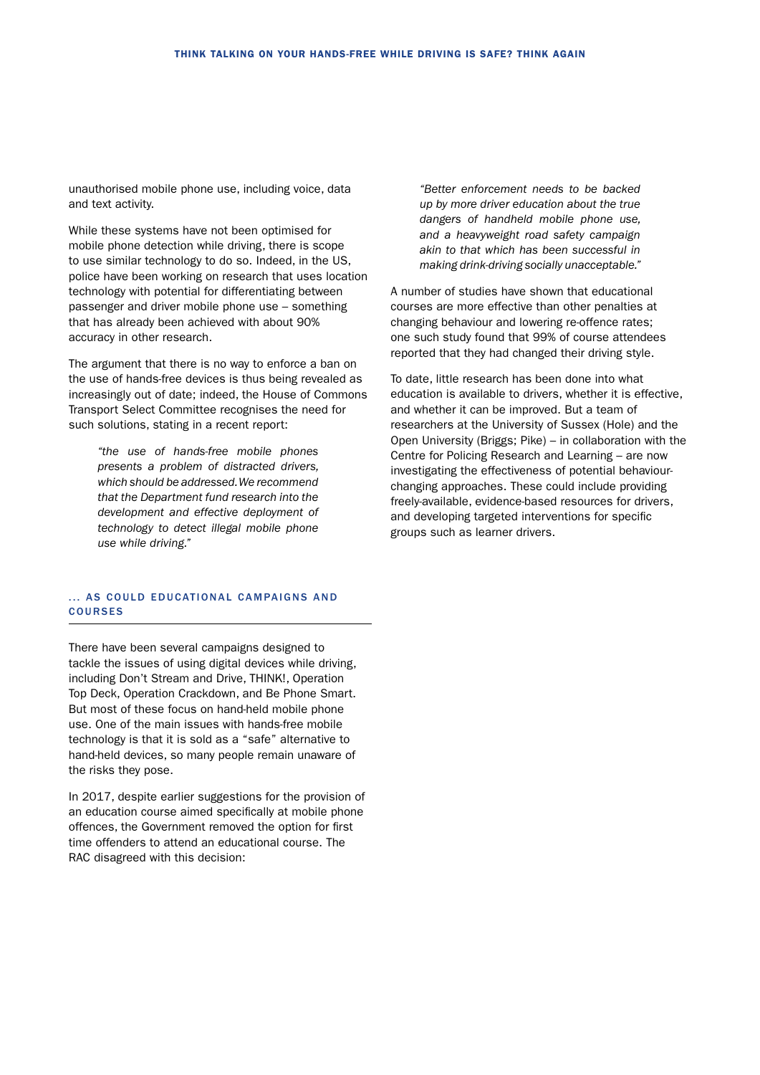unauthorised mobile phone use, including voice, data and text activity.

While these systems have not been optimised for mobile phone detection while driving, there is scope to use similar technology to do so. Indeed, in the US, police have been working on research that uses location technology with potential for differentiating between passenger and driver mobile phone use – something that has already been achieved with about 90% accuracy in other research.

The argument that there is no way to enforce a ban on the use of hands-free devices is thus being revealed as increasingly out of date; indeed, the House of Commons Transport Select Committee recognises the need for such solutions, stating in a recent report:

*"the use of hands-free mobile phones presents a problem of distracted drivers, which should be addressed. We recommend that the Department fund research into the development and effective deployment of technology to detect illegal mobile phone use while driving."*

## ... AS COULD EDUCATIONAL CAMPAIGNS AND COURSES

There have been several campaigns designed to tackle the issues of using digital devices while driving, including Don't Stream and Drive, THINK!, Operation Top Deck, Operation Crackdown, and Be Phone Smart. But most of these focus on hand-held mobile phone use. One of the main issues with hands-free mobile technology is that it is sold as a "safe" alternative to hand-held devices, so many people remain unaware of the risks they pose.

In 2017, despite earlier suggestions for the provision of an education course aimed specifically at mobile phone offences, the Government removed the option for first time offenders to attend an educational course. The RAC disagreed with this decision:

*"Better enforcement needs to be backed up by more driver education about the true dangers of handheld mobile phone use, and a heavyweight road safety campaign akin to that which has been successful in making drink-driving socially unacceptable."*

A number of studies have shown that educational courses are more effective than other penalties at changing behaviour and lowering re-offence rates; one such study found that 99% of course attendees reported that they had changed their driving style.

To date, little research has been done into what education is available to drivers, whether it is effective, and whether it can be improved. But a team of researchers at the University of Sussex (Hole) and the Open University (Briggs; Pike) – in collaboration with the Centre for Policing Research and Learning – are now investigating the effectiveness of potential behaviourchanging approaches. These could include providing freely-available, evidence-based resources for drivers, and developing targeted interventions for specific groups such as learner drivers.